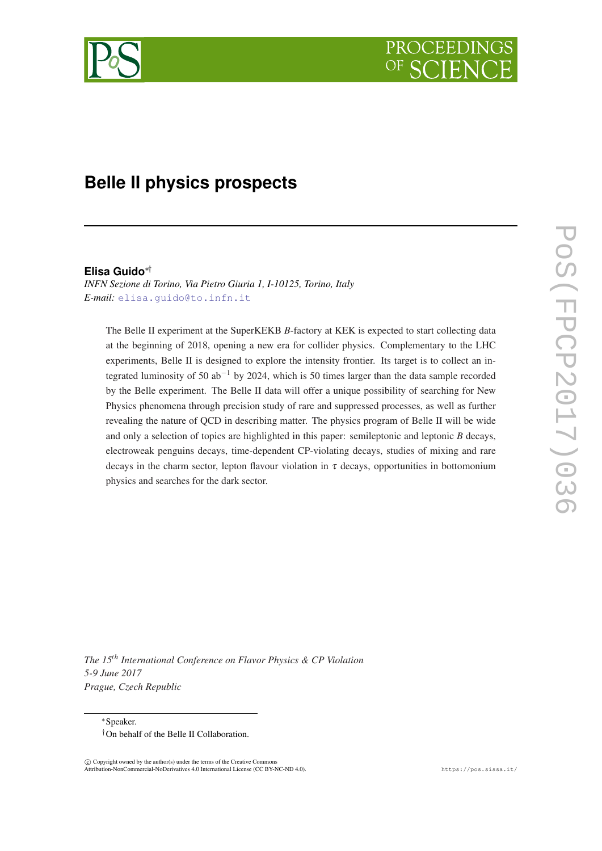# **Belle II physics prospects**

#### **Elisa Guido**∗†

*INFN Sezione di Torino, Via Pietro Giuria 1, I-10125, Torino, Italy E-mail:* [elisa.guido@to.infn.it](mailto:elisa.guido@to.infn.it)

The Belle II experiment at the SuperKEKB *B*-factory at KEK is expected to start collecting data at the beginning of 2018, opening a new era for collider physics. Complementary to the LHC experiments, Belle II is designed to explore the intensity frontier. Its target is to collect an integrated luminosity of 50 ab−<sup>1</sup> by 2024, which is 50 times larger than the data sample recorded by the Belle experiment. The Belle II data will offer a unique possibility of searching for New Physics phenomena through precision study of rare and suppressed processes, as well as further revealing the nature of QCD in describing matter. The physics program of Belle II will be wide and only a selection of topics are highlighted in this paper: semileptonic and leptonic *B* decays, electroweak penguins decays, time-dependent CP-violating decays, studies of mixing and rare decays in the charm sector, lepton flavour violation in  $\tau$  decays, opportunities in bottomonium physics and searches for the dark sector.

*The 15th International Conference on Flavor Physics & CP Violation 5-9 June 2017 Prague, Czech Republic*

<sup>∗</sup>Speaker. †On behalf of the Belle II Collaboration.

 $\overline{c}$  Copyright owned by the author(s) under the terms of the Creative Common Attribution-NonCommercial-NoDerivatives 4.0 International License (CC BY-NC-ND 4.0). https://pos.sissa.it/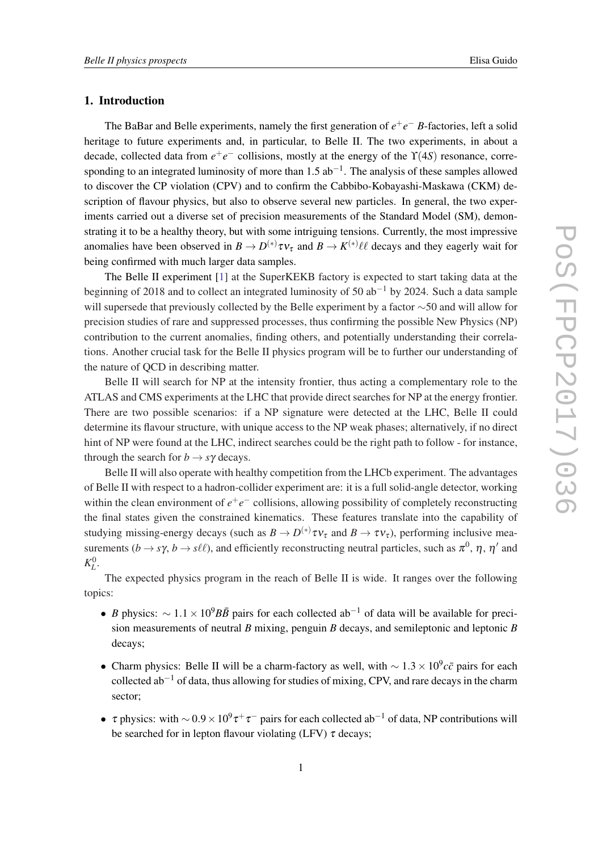#### 1. Introduction

The BaBar and Belle experiments, namely the first generation of  $e^+e^-$  *B*-factories, left a solid heritage to future experiments and, in particular, to Belle II. The two experiments, in about a decade, collected data from *e* +*e* <sup>−</sup> collisions, mostly at the energy of the ϒ(4*S*) resonance, corresponding to an integrated luminosity of more than  $1.5$  ab<sup>-1</sup>. The analysis of these samples allowed to discover the CP violation (CPV) and to confirm the Cabbibo-Kobayashi-Maskawa (CKM) description of flavour physics, but also to observe several new particles. In general, the two experiments carried out a diverse set of precision measurements of the Standard Model (SM), demonstrating it to be a healthy theory, but with some intriguing tensions. Currently, the most impressive anomalies have been observed in  $B \to D^{(*)} \tau v_\tau$  and  $B \to K^{(*)} \ell \ell$  decays and they eagerly wait for being confirmed with much larger data samples.

The Belle II experiment [[1](#page-9-0)] at the SuperKEKB factory is expected to start taking data at the beginning of 2018 and to collect an integrated luminosity of 50 ab<sup>-1</sup> by 2024. Such a data sample will supersede that previously collected by the Belle experiment by a factor ∼50 and will allow for precision studies of rare and suppressed processes, thus confirming the possible New Physics (NP) contribution to the current anomalies, finding others, and potentially understanding their correlations. Another crucial task for the Belle II physics program will be to further our understanding of the nature of QCD in describing matter.

Belle II will search for NP at the intensity frontier, thus acting a complementary role to the ATLAS and CMS experiments at the LHC that provide direct searches for NP at the energy frontier. There are two possible scenarios: if a NP signature were detected at the LHC, Belle II could determine its flavour structure, with unique access to the NP weak phases; alternatively, if no direct hint of NP were found at the LHC, indirect searches could be the right path to follow - for instance, through the search for  $b \rightarrow s\gamma$  decays.

Belle II will also operate with healthy competition from the LHCb experiment. The advantages of Belle II with respect to a hadron-collider experiment are: it is a full solid-angle detector, working within the clean environment of  $e^+e^-$  collisions, allowing possibility of completely reconstructing the final states given the constrained kinematics. These features translate into the capability of studying missing-energy decays (such as  $B \to D^{(*)} \tau v_{\tau}$  and  $B \to \tau v_{\tau}$ ), performing inclusive measurements  $(b \to s\gamma, b \to s\ell\ell)$ , and efficiently reconstructing neutral particles, such as  $\pi^0$ ,  $\eta$ ,  $\eta'$  and  $K_L^0$ .

The expected physics program in the reach of Belle II is wide. It ranges over the following topics:

- *B* physics:  $\sim 1.1 \times 10^9 B\overline{B}$  pairs for each collected ab<sup>-1</sup> of data will be available for precision measurements of neutral *B* mixing, penguin *B* decays, and semileptonic and leptonic *B* decays;
- Charm physics: Belle II will be a charm-factory as well, with  $\sim 1.3 \times 10^9 c\bar{c}$  pairs for each collected ab−<sup>1</sup> of data, thus allowing for studies of mixing, CPV, and rare decays in the charm sector;
- $\tau$  physics: with  $\sim 0.9 \times 10^9 \tau^+ \tau^-$  pairs for each collected ab<sup>-1</sup> of data, NP contributions will be searched for in lepton flavour violating (LFV)  $\tau$  decays;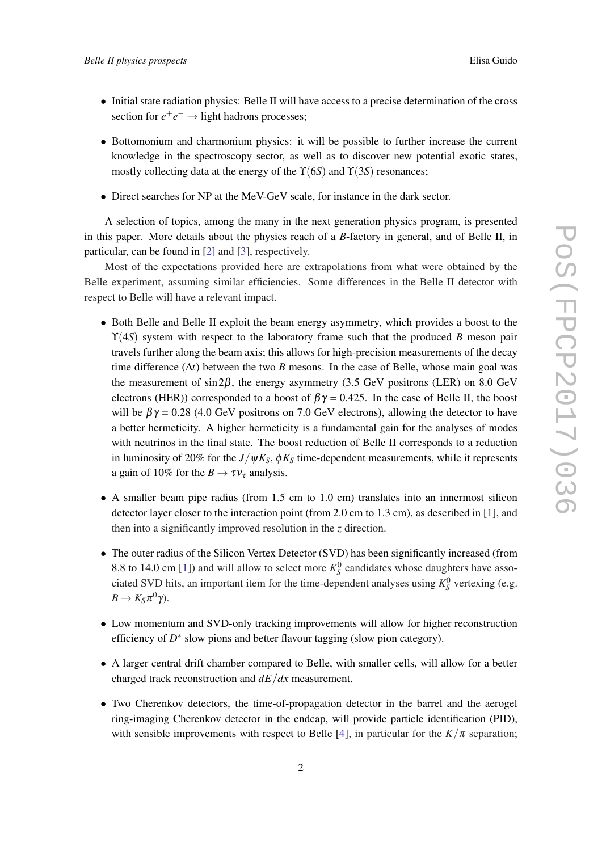- Initial state radiation physics: Belle II will have access to a precise determination of the cross section for  $e^+e^- \rightarrow$  light hadrons processes;
- Bottomonium and charmonium physics: it will be possible to further increase the current knowledge in the spectroscopy sector, as well as to discover new potential exotic states, mostly collecting data at the energy of the ϒ(6*S*) and ϒ(3*S*) resonances;
- Direct searches for NP at the MeV-GeV scale, for instance in the dark sector.

A selection of topics, among the many in the next generation physics program, is presented in this paper. More details about the physics reach of a *B*-factory in general, and of Belle II, in particular, can be found in [\[2\]](#page-10-0) and [\[3](#page-10-0)], respectively.

Most of the expectations provided here are extrapolations from what were obtained by the Belle experiment, assuming similar efficiencies. Some differences in the Belle II detector with respect to Belle will have a relevant impact.

- Both Belle and Belle II exploit the beam energy asymmetry, which provides a boost to the  $\Upsilon(4S)$  system with respect to the laboratory frame such that the produced *B* meson pair travels further along the beam axis; this allows for high-precision measurements of the decay time difference ( $\Delta t$ ) between the two *B* mesons. In the case of Belle, whose main goal was the measurement of sin  $2\beta$ , the energy asymmetry (3.5 GeV positrons (LER) on 8.0 GeV electrons (HER)) corresponded to a boost of  $\beta \gamma = 0.425$ . In the case of Belle II, the boost will be  $\beta \gamma = 0.28$  (4.0 GeV positrons on 7.0 GeV electrons), allowing the detector to have a better hermeticity. A higher hermeticity is a fundamental gain for the analyses of modes with neutrinos in the final state. The boost reduction of Belle II corresponds to a reduction in luminosity of 20% for the  $J/\psi K_S$ ,  $\phi K_S$  time-dependent measurements, while it represents a gain of 10% for the  $B \to \tau v_{\tau}$  analysis.
- A smaller beam pipe radius (from 1.5 cm to 1.0 cm) translates into an innermost silicon detector layer closer to the interaction point (from 2.0 cm to 1.3 cm), as described in [[1](#page-9-0)], and then into a significantly improved resolution in the *z* direction.
- The outer radius of the Silicon Vertex Detector (SVD) has been significantly increased (from 8.8 to 14.0 cm [\[1\]](#page-9-0)) and will allow to select more  $K_S^0$  candidates whose daughters have associated SVD hits, an important item for the time-dependent analyses using  $K_S^0$  vertexing (e.g.  $B \to K_S \pi^0 \gamma$ ).
- Low momentum and SVD-only tracking improvements will allow for higher reconstruction efficiency of  $D^*$  slow pions and better flavour tagging (slow pion category).
- A larger central drift chamber compared to Belle, with smaller cells, will allow for a better charged track reconstruction and *dE*/*dx* measurement.
- Two Cherenkov detectors, the time-of-propagation detector in the barrel and the aerogel ring-imaging Cherenkov detector in the endcap, will provide particle identification (PID), with sensible improvements with respect to Belle [[4](#page-10-0)], in particular for the  $K/\pi$  separation;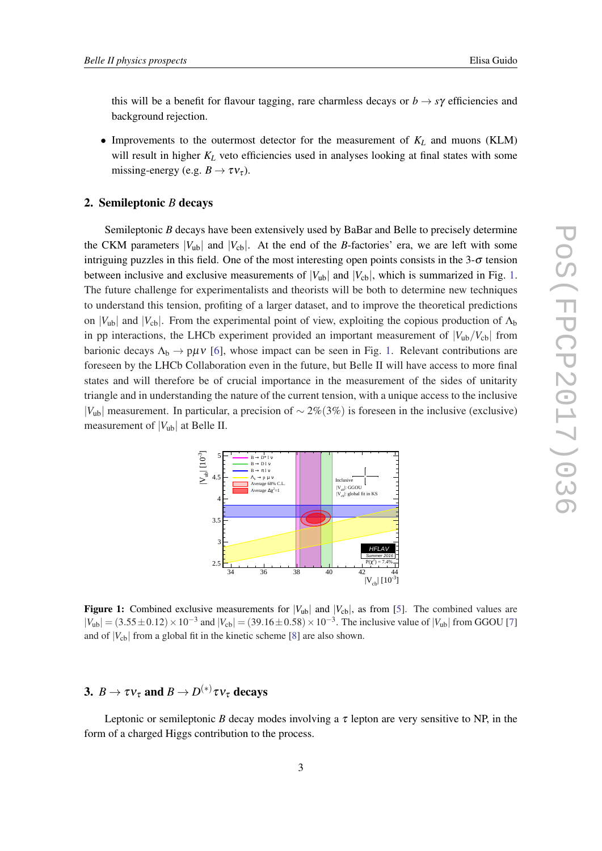this will be a benefit for flavour tagging, rare charmless decays or  $b \rightarrow s\gamma$  efficiencies and background rejection.

• Improvements to the outermost detector for the measurement of *K<sup>L</sup>* and muons (KLM) will result in higher  $K_L$  veto efficiencies used in analyses looking at final states with some missing-energy (e.g.  $B \to \tau v_{\tau}$ ).

#### 2. Semileptonic *B* decays

Semileptonic *B* decays have been extensively used by BaBar and Belle to precisely determine the CKM parameters  $|V_{ub}|$  and  $|V_{cb}|$ . At the end of the *B*-factories' era, we are left with some intriguing puzzles in this field. One of the most interesting open points consists in the  $3-\sigma$  tension between inclusive and exclusive measurements of  $|V_{ub}|$  and  $|V_{cb}|$ , which is summarized in Fig. 1. The future challenge for experimentalists and theorists will be both to determine new techniques to understand this tension, profiting of a larger dataset, and to improve the theoretical predictions on  $|V_{ub}|$  and  $|V_{cb}|$ . From the experimental point of view, exploiting the copious production of  $\Lambda_b$ in pp interactions, the LHCb experiment provided an important measurement of  $|V_{ub}/V_{cb}|$  from barionic decays  $\Lambda_b \to p \mu \nu$  [[6](#page-10-0)], whose impact can be seen in Fig. 1. Relevant contributions are foreseen by the LHCb Collaboration even in the future, but Belle II will have access to more final states and will therefore be of crucial importance in the measurement of the sides of unitarity triangle and in understanding the nature of the current tension, with a unique access to the inclusive |*V*ub| measurement. In particular, a precision of ∼ 2%(3%) is foreseen in the inclusive (exclusive) measurement of  $|V_{ub}|$  at Belle II.



Figure 1: Combined exclusive measurements for  $|V_{ub}|$  and  $|V_{cb}|$ , as from [\[5](#page-10-0)]. The combined values are  $|V_{ub}| = (3.55 \pm 0.12) \times 10^{-3}$  and  $|V_{cb}| = (39.16 \pm 0.58) \times 10^{-3}$ . The inclusive value of  $|V_{ub}|$  from GGOU [[7\]](#page-10-0) and of  $|V_{cb}|$  from a global fit in the kinetic scheme [[8\]](#page-10-0) are also shown.

## 3.  $B \to \tau \nu_{\tau}$  and  $B \to D^{(*)} \tau \nu_{\tau}$  decays

Leptonic or semileptonic *B* decay modes involving a  $\tau$  lepton are very sensitive to NP, in the form of a charged Higgs contribution to the process.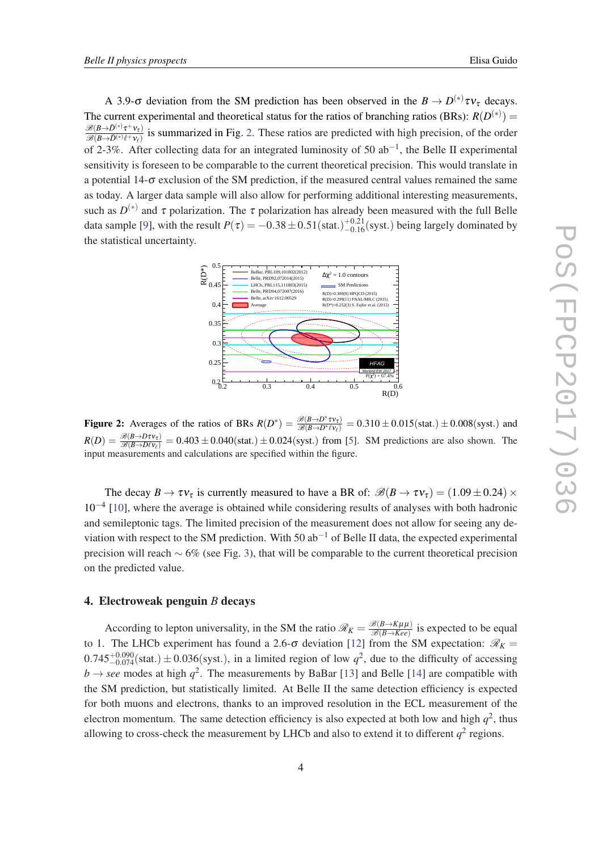A 3.9- $\sigma$  deviation from the SM prediction has been observed in the  $B \to D^{(*)} \tau v_{\tau}$  decays. The current experimental and theoretical status for the ratios of branching ratios (BRs):  $R(D^{(*)})$  =  $\mathscr{B}(B \!\!\rightarrow\!\! \bar{D}^{(*)}\tau^+\nu_\tau)$  $\frac{\mathcal{B}(B\to D^{(n)}\ell^+\nu_{\tau})}{\mathcal{B}(B\to \bar{D}^{(*)}\ell^+\nu_{\ell})}$  is summarized in Fig. 2. These ratios are predicted with high precision, of the order of 2-3%. After collecting data for an integrated luminosity of 50  $ab^{-1}$ , the Belle II experimental sensitivity is foreseen to be comparable to the current theoretical precision. This would translate in a potential  $14-\sigma$  exclusion of the SM prediction, if the measured central values remained the same as today. A larger data sample will also allow for performing additional interesting measurements, such as  $D^{(*)}$  and  $\tau$  polarization. The  $\tau$  polarization has already been measured with the full Belle data sample [\[9\]](#page-10-0), with the result  $P(\tau) = -0.38 \pm 0.51 \text{(stat.)}^{+0.21}_{-0.16} \text{(syst.)}$  being largely dominated by the statistical uncertainty.



Figure 2: Averages of the ratios of BRs  $R(D^*) = \frac{\mathcal{B}(B \to D^* \tau \nu_{\tau})}{\mathcal{B}(B \to D^* \ell \nu_{\ell})} = 0.310 \pm 0.015 \text{(stat.)} \pm 0.008 \text{(syst.)}$  and  $R(D) = \frac{\mathcal{B}(B \to D\tau v_{\tau})}{\mathcal{B}(B \to D\ell v_{\ell})} = 0.403 \pm 0.040 \text{(stat.)} \pm 0.024 \text{(syst.)}$  from [[5\]](#page-10-0). SM predictions are also shown. The input measurements and calculations are specified within the figure.

The decay  $B \to \tau v_{\tau}$  is currently measured to have a BR of:  $\mathscr{B}(B \to \tau v_{\tau}) = (1.09 \pm 0.24) \times$ 10−<sup>4</sup> [\[10](#page-10-0)], where the average is obtained while considering results of analyses with both hadronic and semileptonic tags. The limited precision of the measurement does not allow for seeing any deviation with respect to the SM prediction. With 50  $ab^{-1}$  of Belle II data, the expected experimental precision will reach  $~6\%$  (see Fig. [3\)](#page-5-0), that will be comparable to the current theoretical precision on the predicted value.

#### 4. Electroweak penguin *B* decays

According to lepton universality, in the SM the ratio  $\mathscr{R}_K = \frac{\mathscr{B}(B \to K\mu\mu)}{\mathscr{B}(B \to Kee)}$  $\frac{\mathcal{B}(B\to K\mu\mu)}{\mathcal{B}(B\to Ke)}$  is expected to be equal to 1. The LHCb experiment has found a 2.6- $\sigma$  deviation [[12\]](#page-10-0) from the SM expectation:  $\mathcal{R}_K =$  $0.745^{+0.090}_{-0.074}$ (stat.)  $\pm 0.036$ (syst.), in a limited region of low  $q^2$ , due to the difficulty of accessing  $b \rightarrow$  *see* modes at high  $q^2$ . The measurements by BaBar [[13\]](#page-10-0) and Belle [[14](#page-10-0)] are compatible with the SM prediction, but statistically limited. At Belle II the same detection efficiency is expected for both muons and electrons, thanks to an improved resolution in the ECL measurement of the electron momentum. The same detection efficiency is also expected at both low and high  $q^2$ , thus allowing to cross-check the measurement by LHCb and also to extend it to different  $q^2$  regions.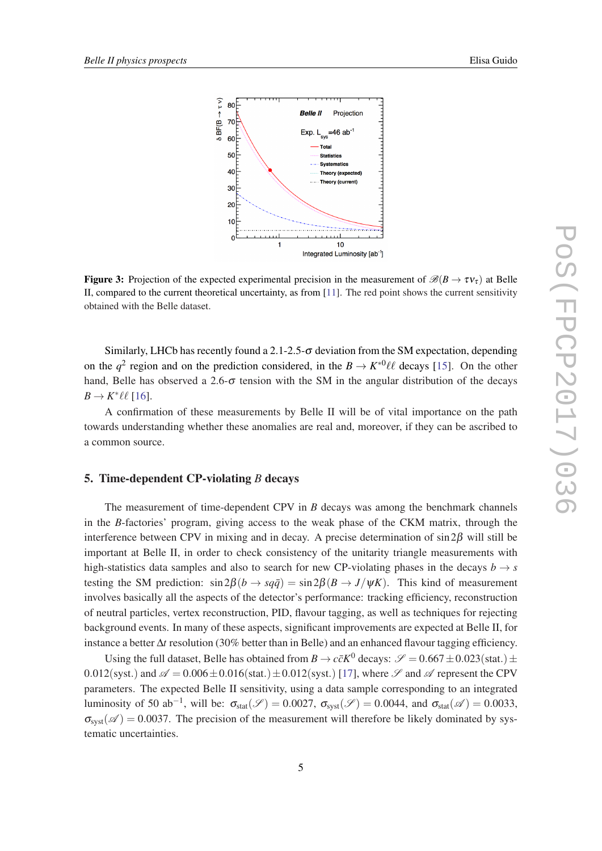<span id="page-5-0"></span>

**Figure 3:** Projection of the expected experimental precision in the measurement of  $\mathscr{B}(B \to \tau v_{\tau})$  at Belle II, compared to the current theoretical uncertainty, as from [[11\]](#page-10-0). The red point shows the current sensitivity obtained with the Belle dataset.

Similarly, LHCb has recently found a 2.1-2.5-σ deviation from the SM expectation, depending on the  $q^2$  region and on the prediction considered, in the  $B \to K^{*0} \ell \ell$  decays [[15\]](#page-10-0). On the other hand, Belle has observed a 2.6- $\sigma$  tension with the SM in the angular distribution of the decays  $B \to K^* \ell \ell$  [[16](#page-10-0)].

A confirmation of these measurements by Belle II will be of vital importance on the path towards understanding whether these anomalies are real and, moreover, if they can be ascribed to a common source.

#### 5. Time-dependent CP-violating *B* decays

The measurement of time-dependent CPV in *B* decays was among the benchmark channels in the *B*-factories' program, giving access to the weak phase of the CKM matrix, through the interference between CPV in mixing and in decay. A precise determination of  $\sin 2\beta$  will still be important at Belle II, in order to check consistency of the unitarity triangle measurements with high-statistics data samples and also to search for new CP-violating phases in the decays  $b \rightarrow s$ testing the SM prediction:  $\sin 2\beta (b \rightarrow s q \bar{q}) = \sin 2\beta (B \rightarrow J/\psi K)$ . This kind of measurement involves basically all the aspects of the detector's performance: tracking efficiency, reconstruction of neutral particles, vertex reconstruction, PID, flavour tagging, as well as techniques for rejecting background events. In many of these aspects, significant improvements are expected at Belle II, for instance a better ∆*t* resolution (30% better than in Belle) and an enhanced flavour tagging efficiency.

Using the full dataset, Belle has obtained from  $B \to c\bar{c}K^0$  decays:  $\mathscr{S} = 0.667 \pm 0.023(\text{stat.}) \pm$ 0.012(syst.) and  $\mathscr{A} = 0.006 \pm 0.016$ (stat.)  $\pm 0.012$ (syst.) [\[17](#page-10-0)], where  $\mathscr{S}$  and  $\mathscr{A}$  represent the CPV parameters. The expected Belle II sensitivity, using a data sample corresponding to an integrated luminosity of 50 ab<sup>-1</sup>, will be:  $\sigma_{stat}(\mathscr{S}) = 0.0027$ ,  $\sigma_{syst}(\mathscr{S}) = 0.0044$ , and  $\sigma_{stat}(\mathscr{A}) = 0.0033$ ,  $\sigma_{syst}(\mathscr{A}) = 0.0037$ . The precision of the measurement will therefore be likely dominated by systematic uncertainties.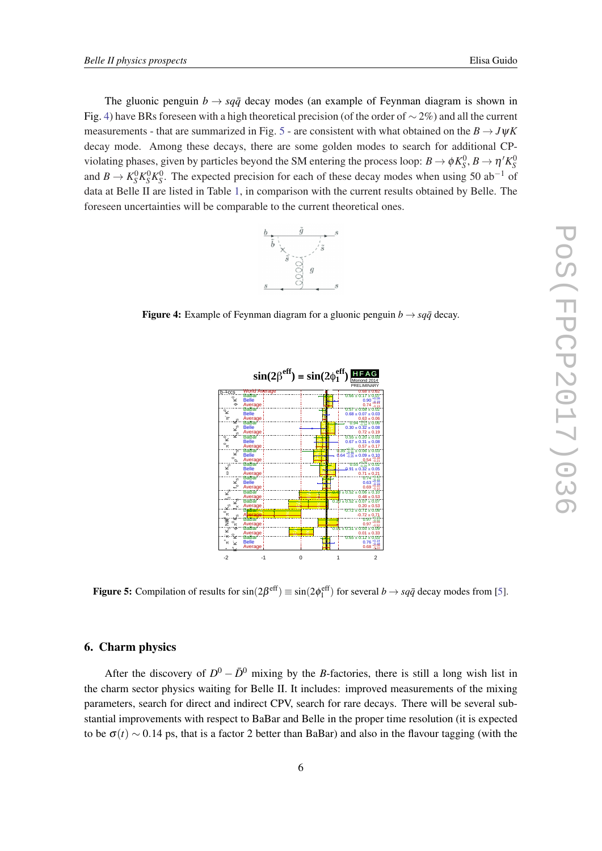The gluonic penguin  $b \rightarrow s q \bar{q}$  decay modes (an example of Feynman diagram is shown in Fig. 4) have BRs foreseen with a high theoretical precision (of the order of  $\sim$  2%) and all the current measurements - that are summarized in Fig. 5 - are consistent with what obtained on the  $B \rightarrow J \psi K$ decay mode. Among these decays, there are some golden modes to search for additional CPviolating phases, given by particles beyond the SM entering the process loop:  $B \to \phi K_S^0$ ,  $B \to \eta' K_S^0$ and  $B \to K_S^0 K_S^0 K_S^0$ . The expected precision for each of these decay modes when using 50 ab<sup>-1</sup> of data at Belle II are listed in Table [1](#page-7-0), in comparison with the current results obtained by Belle. The foreseen uncertainties will be comparable to the current theoretical ones.



**Figure 4:** Example of Feynman diagram for a gluonic penguin  $b \rightarrow s q \bar{q}$  decay.



Figure 5: Compilation of results for  $sin(2\beta^{\text{eff}}) \equiv sin(2\phi_1^{\text{eff}})$  for several  $b \to sq\bar{q}$  decay modes from [\[5](#page-10-0)].

#### 6. Charm physics

After the discovery of  $D^0 - \bar{D}^0$  mixing by the *B*-factories, there is still a long wish list in the charm sector physics waiting for Belle II. It includes: improved measurements of the mixing parameters, search for direct and indirect CPV, search for rare decays. There will be several substantial improvements with respect to BaBar and Belle in the proper time resolution (it is expected to be  $\sigma(t) \sim 0.14$  ps, that is a factor 2 better than BaBar) and also in the flavour tagging (with the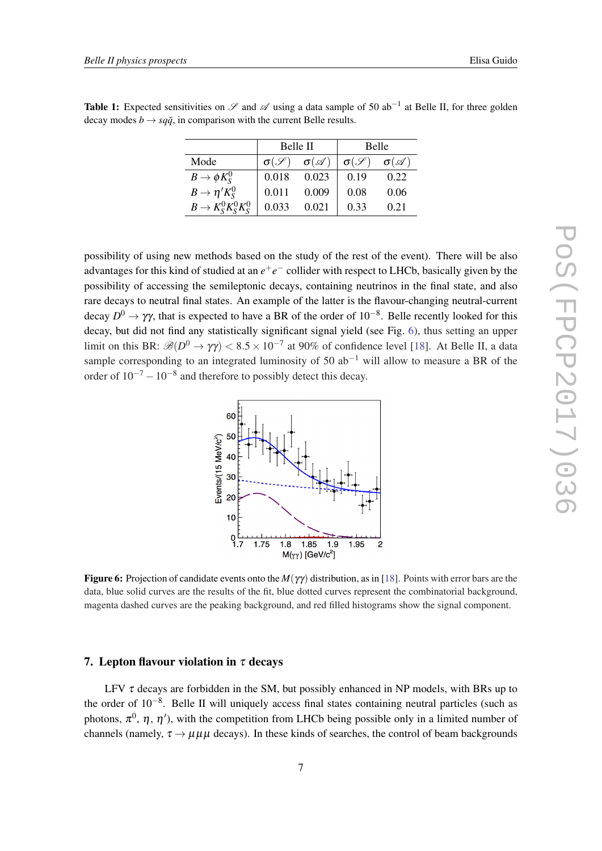|                           | Belle II              |                       | Belle                 |                       |
|---------------------------|-----------------------|-----------------------|-----------------------|-----------------------|
| Mode                      | $\sigma(\mathscr{S})$ | $\sigma(\mathscr{A})$ | $\sigma(\mathscr{S})$ | $\sigma(\mathscr{A})$ |
| $B\to \phi K_{S}^{0}$     | 0.018                 | 0.023                 | 0.19                  | 0.22                  |
| $B \to \eta' K_{S}^{0}$   | 0.011                 | 0.009                 | 0.08                  | 0.06                  |
| $B \to K_S^0 K_S^0 K_S^0$ | 0.033                 | 0.021                 | 0.33                  | 0.21                  |

<span id="page-7-0"></span>**Table 1:** Expected sensitivities on  $\mathscr S$  and  $\mathscr A$  using a data sample of 50 ab<sup>-1</sup> at Belle II, for three golden decay modes  $b \rightarrow s q \bar{q}$ , in comparison with the current Belle results.

possibility of using new methods based on the study of the rest of the event). There will be also advantages for this kind of studied at an  $e^+e^-$  collider with respect to LHCb, basically given by the possibility of accessing the semileptonic decays, containing neutrinos in the final state, and also rare decays to neutral final states. An example of the latter is the flavour-changing neutral-current decay *D* <sup>0</sup> → γγ, that is expected to have a BR of the order of 10−<sup>8</sup> . Belle recently looked for this decay, but did not find any statistically significant signal yield (see Fig. 6), thus setting an upper limit on this BR:  $\mathscr{B}(D^0 \to \gamma \gamma) < 8.5 \times 10^{-7}$  at 90% of confidence level [\[18](#page-10-0)]. At Belle II, a data sample corresponding to an integrated luminosity of 50  $ab^{-1}$  will allow to measure a BR of the order of  $10^{-7} - 10^{-8}$  and therefore to possibly detect this decay.



Figure 6: Projection of candidate events onto the *M*(γγ) distribution, as in [\[18](#page-10-0)]. Points with error bars are the data, blue solid curves are the results of the fit, blue dotted curves represent the combinatorial background, magenta dashed curves are the peaking background, and red filled histograms show the signal component.

### 7. Lepton flavour violation in  $\tau$  decays

LFV  $\tau$  decays are forbidden in the SM, but possibly enhanced in NP models, with BRs up to the order of 10<sup>-8</sup>. Belle II will uniquely access final states containing neutral particles (such as photons,  $\pi^0$ ,  $\eta$ ,  $\eta'$ ), with the competition from LHCb being possible only in a limited number of channels (namely,  $\tau \rightarrow \mu \mu \mu$  decays). In these kinds of searches, the control of beam backgrounds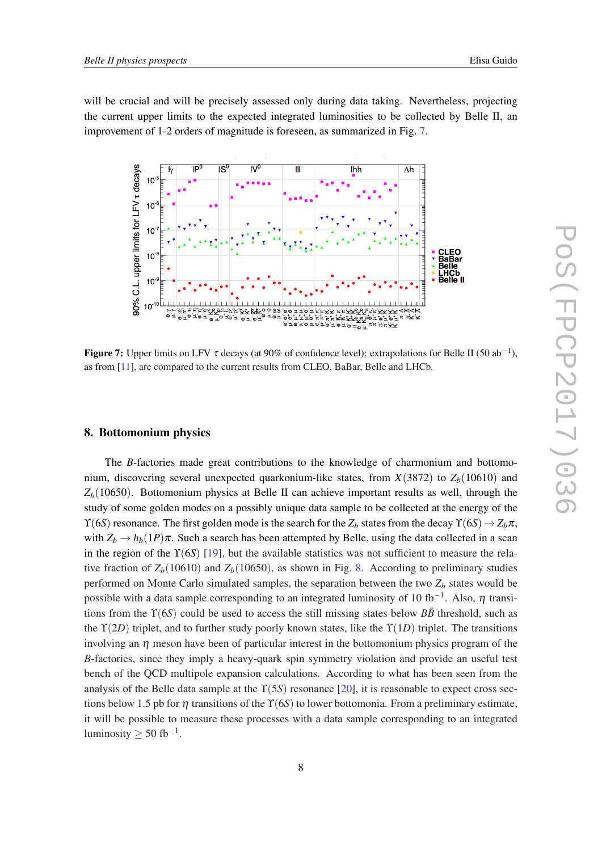will be crucial and will be precisely assessed only during data taking. Nevertheless, projecting the current upper limits to the expected integrated luminosities to be collected by Belle II, an improvement of 1-2 orders of magnitude is foreseen, as summarized in Fig. 7.



**Figure 7:** Upper limits on LFV  $\tau$  decays (at 90% of confidence level): extrapolations for Belle II (50 ab<sup>-1</sup>), as from [\[11](#page-10-0)], are compared to the current results from CLEO, BaBar, Belle and LHCb.

#### 8. Bottomonium physics

The *B*-factories made great contributions to the knowledge of charmonium and bottomonium, discovering several unexpected quarkonium-like states, from  $X(3872)$  to  $Z_b(10610)$  and  $Z_b(10650)$ . Bottomonium physics at Belle II can achieve important results as well, through the study of some golden modes on a possibly unique data sample to be collected at the energy of the  $\Upsilon(6S)$  resonance. The first golden mode is the search for the  $Z_b$  states from the decay  $\Upsilon(6S) \rightarrow Z_b \pi$ , with  $Z_b \to h_b(1P)\pi$ . Such a search has been attempted by Belle, using the data collected in a scan in the region of the ϒ(6*S*) [\[19](#page-10-0)], but the available statistics was not sufficient to measure the relative fraction of  $Z_b(10610)$  and  $Z_b(10650)$ , as shown in Fig. [8](#page-9-0). According to preliminary studies performed on Monte Carlo simulated samples, the separation between the two  $Z_b$  states would be possible with a data sample corresponding to an integrated luminosity of 10 fb<sup>-1</sup>. Also,  $\eta$  transitions from the  $\Upsilon(6S)$  could be used to access the still missing states below  $B\bar{B}$  threshold, such as the ϒ(2*D*) triplet, and to further study poorly known states, like the ϒ(1*D*) triplet. The transitions involving an  $\eta$  meson have been of particular interest in the bottomonium physics program of the *B*-factories, since they imply a heavy-quark spin symmetry violation and provide an useful test bench of the QCD multipole expansion calculations. According to what has been seen from the analysis of the Belle data sample at the ϒ(5*S*) resonance [\[20](#page-10-0)], it is reasonable to expect cross sections below 1.5 pb for  $\eta$  transitions of the  $\Upsilon(6S)$  to lower bottomonia. From a preliminary estimate, it will be possible to measure these processes with a data sample corresponding to an integrated luminosity  $\geq 50$  fb<sup>-1</sup>.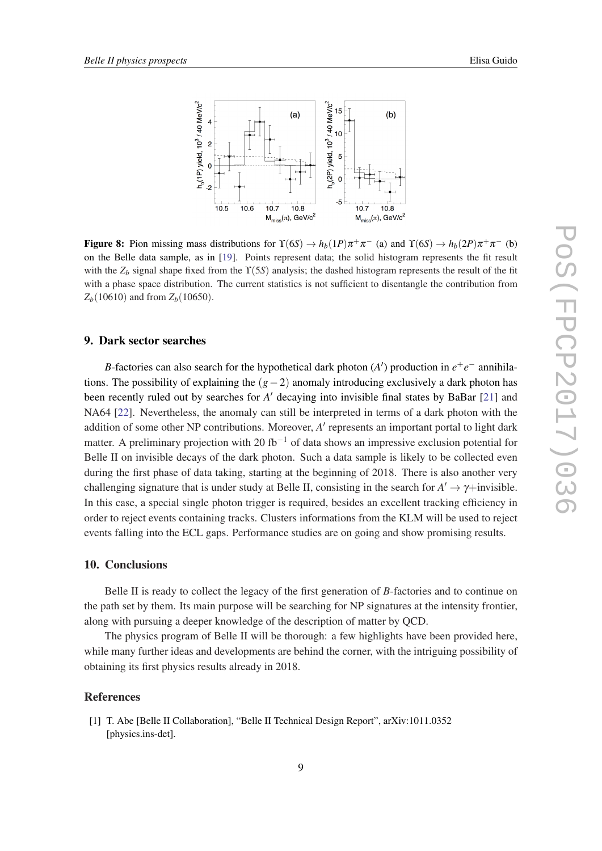

<span id="page-9-0"></span>

Figure 8: Pion missing mass distributions for  $\Upsilon(6S) \to h_b(1P)\pi^+\pi^-$  (a) and  $\Upsilon(6S) \to h_b(2P)\pi^+\pi^-$  (b) on the Belle data sample, as in [[19\]](#page-10-0). Points represent data; the solid histogram represents the fit result with the  $Z_b$  signal shape fixed from the  $\Upsilon(5S)$  analysis; the dashed histogram represents the result of the fit with a phase space distribution. The current statistics is not sufficient to disentangle the contribution from  $Z_b(10610)$  and from  $Z_b(10650)$ .

#### 9. Dark sector searches

*B*-factories can also search for the hypothetical dark photon (*A*<sup> $'$ </sup>) production in  $e^+e^-$  annihilations. The possibility of explaining the (*g*−2) anomaly introducing exclusively a dark photon has been recently ruled out by searches for *A'* decaying into invisible final states by BaBar [\[21](#page-10-0)] and NA64 [\[22](#page-10-0)]. Nevertheless, the anomaly can still be interpreted in terms of a dark photon with the addition of some other NP contributions. Moreover, A' represents an important portal to light dark matter. A preliminary projection with 20 fb<sup>-1</sup> of data shows an impressive exclusion potential for Belle II on invisible decays of the dark photon. Such a data sample is likely to be collected even during the first phase of data taking, starting at the beginning of 2018. There is also another very challenging signature that is under study at Belle II, consisting in the search for  $A' \to \gamma +$ invisible. In this case, a special single photon trigger is required, besides an excellent tracking efficiency in order to reject events containing tracks. Clusters informations from the KLM will be used to reject events falling into the ECL gaps. Performance studies are on going and show promising results.

#### 10. Conclusions

Belle II is ready to collect the legacy of the first generation of *B*-factories and to continue on the path set by them. Its main purpose will be searching for NP signatures at the intensity frontier, along with pursuing a deeper knowledge of the description of matter by QCD.

The physics program of Belle II will be thorough: a few highlights have been provided here, while many further ideas and developments are behind the corner, with the intriguing possibility of obtaining its first physics results already in 2018.

#### References

[1] T. Abe [Belle II Collaboration], "Belle II Technical Design Report", arXiv:1011.0352 [physics.ins-det].